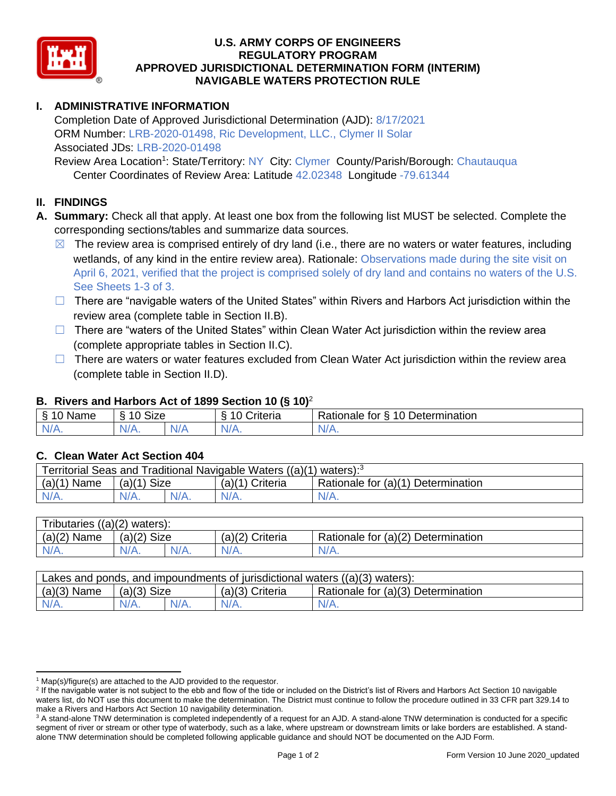

#### **U.S. ARMY CORPS OF ENGINEERS REGULATORY PROGRAM APPROVED JURISDICTIONAL DETERMINATION FORM (INTERIM) NAVIGABLE WATERS PROTECTION RULE**

## **I. ADMINISTRATIVE INFORMATION**

Completion Date of Approved Jurisdictional Determination (AJD): 8/17/2021 ORM Number: LRB-2020-01498, Ric Development, LLC., Clymer II Solar Associated JDs: LRB-2020-01498

Review Area Location<sup>1</sup>: State/Territory: NY City: Clymer County/Parish/Borough: Chautauqua Center Coordinates of Review Area: Latitude 42.02348 Longitude -79.61344

#### **II. FINDINGS**

- **A. Summary:** Check all that apply. At least one box from the following list MUST be selected. Complete the corresponding sections/tables and summarize data sources.
	- $\boxtimes$  The review area is comprised entirely of dry land (i.e., there are no waters or water features, including wetlands, of any kind in the entire review area). Rationale: Observations made during the site visit on April 6, 2021, verified that the project is comprised solely of dry land and contains no waters of the U.S. See Sheets 1-3 of 3.
	- ☐ There are "navigable waters of the United States" within Rivers and Harbors Act jurisdiction within the review area (complete table in Section II.B).
	- □ There are "waters of the United States" within Clean Water Act jurisdiction within the review area (complete appropriate tables in Section II.C).
	- $\Box$  There are waters or water features excluded from Clean Water Act jurisdiction within the review area (complete table in Section II.D).

### **B. Rivers and Harbors Act of 1899 Section 10 (§ 10)**<sup>2</sup>

| $\cdot$                     |                                                      |           |                      |                                               |  |
|-----------------------------|------------------------------------------------------|-----------|----------------------|-----------------------------------------------|--|
| Name                        | $\sim$<br>$\sim$<br>SIZE<br>$\overline{\phantom{a}}$ |           | triteria<br>. .<br>∼ | -<br><b>Determination</b><br>Rationale<br>tor |  |
| м.<br>2511<br><b>MILLER</b> | N/A                                                  | N7<br>. . | N/                   | INI.                                          |  |

#### **C. Clean Water Act Section 404**

| Territorial Seas and Traditional Navigable Waters $((a)(1)$ waters): <sup>3</sup> |                |  |                 |                                    |  |
|-----------------------------------------------------------------------------------|----------------|--|-----------------|------------------------------------|--|
| (a)(1)<br>Name                                                                    | Size<br>(a)(1) |  | (a)(1) Criteria | Rationale for (a)(1) Determination |  |
| N/A.                                                                              | $N/A$ .        |  | $N/A$ .         | $N/A$ .                            |  |

| Tributaries,<br>$((a)(2)$ waters): |                |         |                    |                                    |  |
|------------------------------------|----------------|---------|--------------------|------------------------------------|--|
| $(a)(2)$ Name                      | Size<br>(a)(2) |         | (a)(2)<br>Criteria | Rationale for (a)(2) Determination |  |
| $N/A$ .                            | $N/A$ .        | $N/A$ . | $N/A$ .            | $N/A$ .                            |  |

| Lakes and ponds, and impoundments of jurisdictional waters $((a)(3)$ waters): |               |  |                   |                                    |  |
|-------------------------------------------------------------------------------|---------------|--|-------------------|------------------------------------|--|
| $(a)(3)$ Name                                                                 | $(a)(3)$ Size |  | $(a)(3)$ Criteria | Rationale for (a)(3) Determination |  |
|                                                                               | $N/A$ .       |  | $N/A$ .           | N/A.                               |  |

 $1$  Map(s)/figure(s) are attached to the AJD provided to the requestor.

<sup>&</sup>lt;sup>2</sup> If the navigable water is not subject to the ebb and flow of the tide or included on the District's list of Rivers and Harbors Act Section 10 navigable waters list, do NOT use this document to make the determination. The District must continue to follow the procedure outlined in 33 CFR part 329.14 to make a Rivers and Harbors Act Section 10 navigability determination.

<sup>&</sup>lt;sup>3</sup> A stand-alone TNW determination is completed independently of a request for an AJD. A stand-alone TNW determination is conducted for a specific segment of river or stream or other type of waterbody, such as a lake, where upstream or downstream limits or lake borders are established. A standalone TNW determination should be completed following applicable guidance and should NOT be documented on the AJD Form.